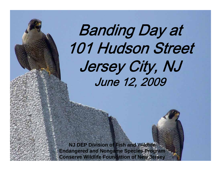## Banding Day at 101 Hudson Street Jersey City, NJ June 12, 2009

**NJ DEP Division of Fish and WildlifeEndangered and Nongame Species Program Conserve Wildlife Foundation of New Jersey**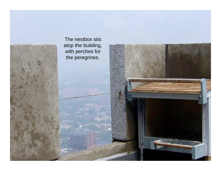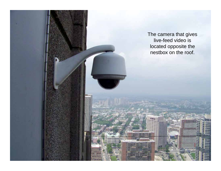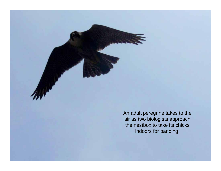An adult peregrine takes to the air as two biologists approach the nestbox to take its chicks indoors for banding.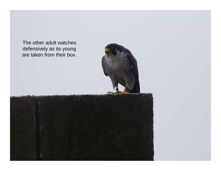The other adult watches defensively as its young are taken from their box.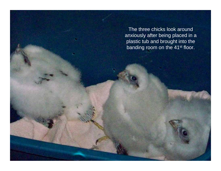The three chicks look around anxiously after being placed in a plastic tub and brought into the banding room on the 41st floor.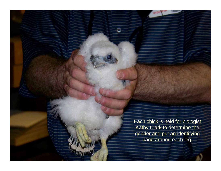Each chick is held for biologist Kathy Clark to determine the gender and put an identifying band around each leg.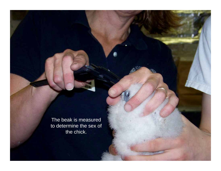The beak is measured to determine the sex of the chick.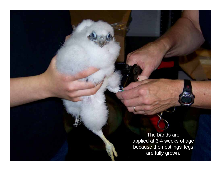The bands are applied at 3-4 weeks of age because the nestlings' legs are fully grown.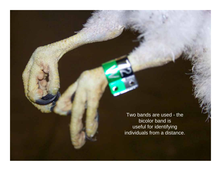Two bands are used - the bicolor band is useful for identifying individuals from a distance.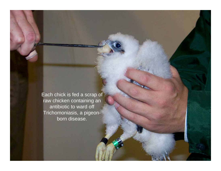Each chick is fed a scrap of raw chicken containing an antibiotic to ward off Trichomoniasis, a pigeonborn disease.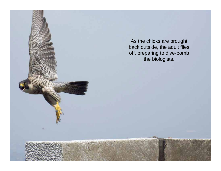As the chicks are brought back outside, the adult flies off, preparing to dive-bomb the biologists.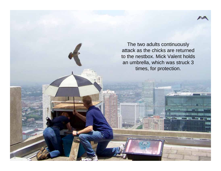

The two adults continuously attack as the chicks are returned to the nestbox. Mick Valent holds an umbrella, which was struck 3 times, for protection.

 $10.68$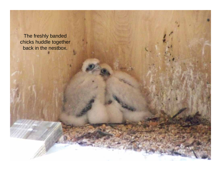The freshly banded chicks huddle together back in the nestbox.